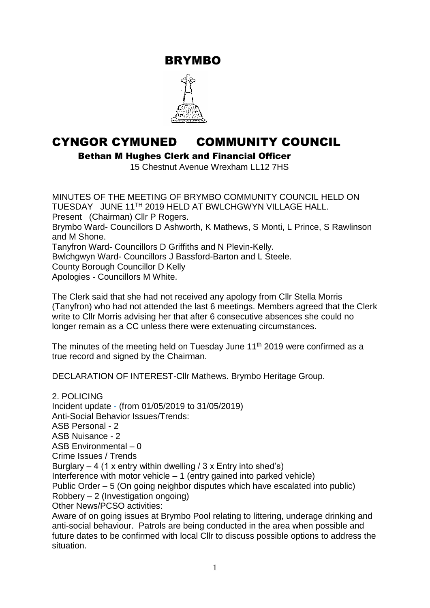BRYMBO



# CYNGOR CYMUNED COMMUNITY COUNCIL

Bethan M Hughes Clerk and Financial Officer

15 Chestnut Avenue Wrexham LL12 7HS

MINUTES OF THE MEETING OF BRYMBO COMMUNITY COUNCIL HELD ON TUESDAY JUNE 11TH 2019 HELD AT BWLCHGWYN VILLAGE HALL. Present (Chairman) Cllr P Rogers. Brymbo Ward- Councillors D Ashworth, K Mathews, S Monti, L Prince, S Rawlinson and M Shone. Tanyfron Ward- Councillors D Griffiths and N Plevin-Kelly. Bwlchgwyn Ward- Councillors J Bassford-Barton and L Steele. County Borough Councillor D Kelly Apologies - Councillors M White.

The Clerk said that she had not received any apology from Cllr Stella Morris (Tanyfron) who had not attended the last 6 meetings. Members agreed that the Clerk write to Cllr Morris advising her that after 6 consecutive absences she could no longer remain as a CC unless there were extenuating circumstances.

The minutes of the meeting held on Tuesday June 11<sup>th</sup> 2019 were confirmed as a true record and signed by the Chairman.

DECLARATION OF INTEREST-Cllr Mathews. Brymbo Heritage Group.

2. POLICING Incident update - (from 01/05/2019 to 31/05/2019) Anti-Social Behavior Issues/Trends: ASB Personal - 2 ASB Nuisance - 2 ASB Environmental – 0 Crime Issues / Trends Burglary – 4 (1 x entry within dwelling / 3 x Entry into shed's) Interference with motor vehicle – 1 (entry gained into parked vehicle) Public Order – 5 (On going neighbor disputes which have escalated into public) Robbery – 2 (Investigation ongoing) Other News/PCSO activities: Aware of on going issues at Brymbo Pool relating to littering, underage drinking and anti-social behaviour. Patrols are being conducted in the area when possible and future dates to be confirmed with local Cllr to discuss possible options to address the

situation.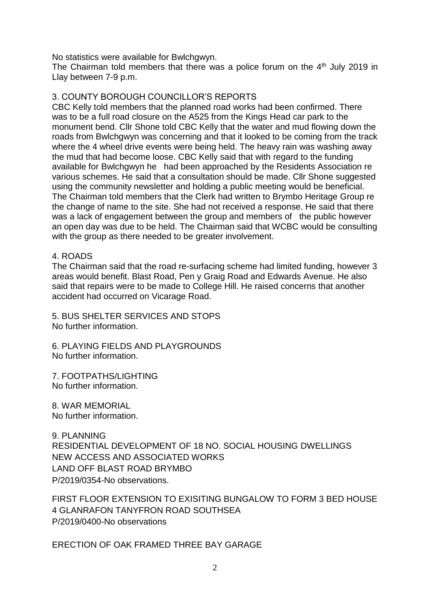No statistics were available for Bwlchgwyn.

The Chairman told members that there was a police forum on the  $4<sup>th</sup>$  July 2019 in Llay between 7-9 p.m.

### 3. COUNTY BOROUGH COUNCILLOR'S REPORTS

CBC Kelly told members that the planned road works had been confirmed. There was to be a full road closure on the A525 from the Kings Head car park to the monument bend. Cllr Shone told CBC Kelly that the water and mud flowing down the roads from Bwlchgwyn was concerning and that it looked to be coming from the track where the 4 wheel drive events were being held. The heavy rain was washing away the mud that had become loose. CBC Kelly said that with regard to the funding available for Bwlchgwyn he had been approached by the Residents Association re various schemes. He said that a consultation should be made. Cllr Shone suggested using the community newsletter and holding a public meeting would be beneficial. The Chairman told members that the Clerk had written to Brymbo Heritage Group re the change of name to the site. She had not received a response. He said that there was a lack of engagement between the group and members of the public however an open day was due to be held. The Chairman said that WCBC would be consulting with the group as there needed to be greater involvement.

#### 4. ROADS

The Chairman said that the road re-surfacing scheme had limited funding, however 3 areas would benefit. Blast Road, Pen y Graig Road and Edwards Avenue. He also said that repairs were to be made to College Hill. He raised concerns that another accident had occurred on Vicarage Road.

5. BUS SHELTER SERVICES AND STOPS No further information.

6. PLAYING FIELDS AND PLAYGROUNDS No further information.

7. FOOTPATHS/LIGHTING No further information.

8. WAR MEMORIAL No further information.

9. PLANNING RESIDENTIAL DEVELOPMENT OF 18 NO. SOCIAL HOUSING DWELLINGS NEW ACCESS AND ASSOCIATED WORKS LAND OFF BLAST ROAD BRYMBO P/2019/0354-No observations.

FIRST FLOOR EXTENSION TO EXISITING BUNGALOW TO FORM 3 BED HOUSE 4 GLANRAFON TANYFRON ROAD SOUTHSEA P/2019/0400-No observations

ERECTION OF OAK FRAMED THREE BAY GARAGE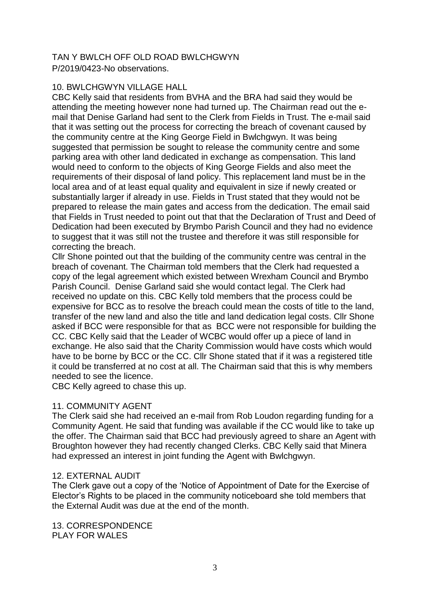## TAN Y BWLCH OFF OLD ROAD BWLCHGWYN P/2019/0423-No observations.

#### 10. BWLCHGWYN VILLAGE HALL

CBC Kelly said that residents from BVHA and the BRA had said they would be attending the meeting however none had turned up. The Chairman read out the email that Denise Garland had sent to the Clerk from Fields in Trust. The e-mail said that it was setting out the process for correcting the breach of covenant caused by the community centre at the King George Field in Bwlchgwyn. It was being suggested that permission be sought to release the community centre and some parking area with other land dedicated in exchange as compensation. This land would need to conform to the objects of King George Fields and also meet the requirements of their disposal of land policy. This replacement land must be in the local area and of at least equal quality and equivalent in size if newly created or substantially larger if already in use. Fields in Trust stated that they would not be prepared to release the main gates and access from the dedication. The email said that Fields in Trust needed to point out that that the Declaration of Trust and Deed of Dedication had been executed by Brymbo Parish Council and they had no evidence to suggest that it was still not the trustee and therefore it was still responsible for correcting the breach.

Cllr Shone pointed out that the building of the community centre was central in the breach of covenant. The Chairman told members that the Clerk had requested a copy of the legal agreement which existed between Wrexham Council and Brymbo Parish Council. Denise Garland said she would contact legal. The Clerk had received no update on this. CBC Kelly told members that the process could be expensive for BCC as to resolve the breach could mean the costs of title to the land, transfer of the new land and also the title and land dedication legal costs. Cllr Shone asked if BCC were responsible for that as BCC were not responsible for building the CC. CBC Kelly said that the Leader of WCBC would offer up a piece of land in exchange. He also said that the Charity Commission would have costs which would have to be borne by BCC or the CC. Cllr Shone stated that if it was a registered title it could be transferred at no cost at all. The Chairman said that this is why members needed to see the licence.

CBC Kelly agreed to chase this up.

## 11. COMMUNITY AGENT

The Clerk said she had received an e-mail from Rob Loudon regarding funding for a Community Agent. He said that funding was available if the CC would like to take up the offer. The Chairman said that BCC had previously agreed to share an Agent with Broughton however they had recently changed Clerks. CBC Kelly said that Minera had expressed an interest in joint funding the Agent with Bwlchgwyn.

#### 12. EXTERNAL AUDIT

The Clerk gave out a copy of the 'Notice of Appointment of Date for the Exercise of Elector's Rights to be placed in the community noticeboard she told members that the External Audit was due at the end of the month.

13. CORRESPONDENCE PLAY FOR WALES